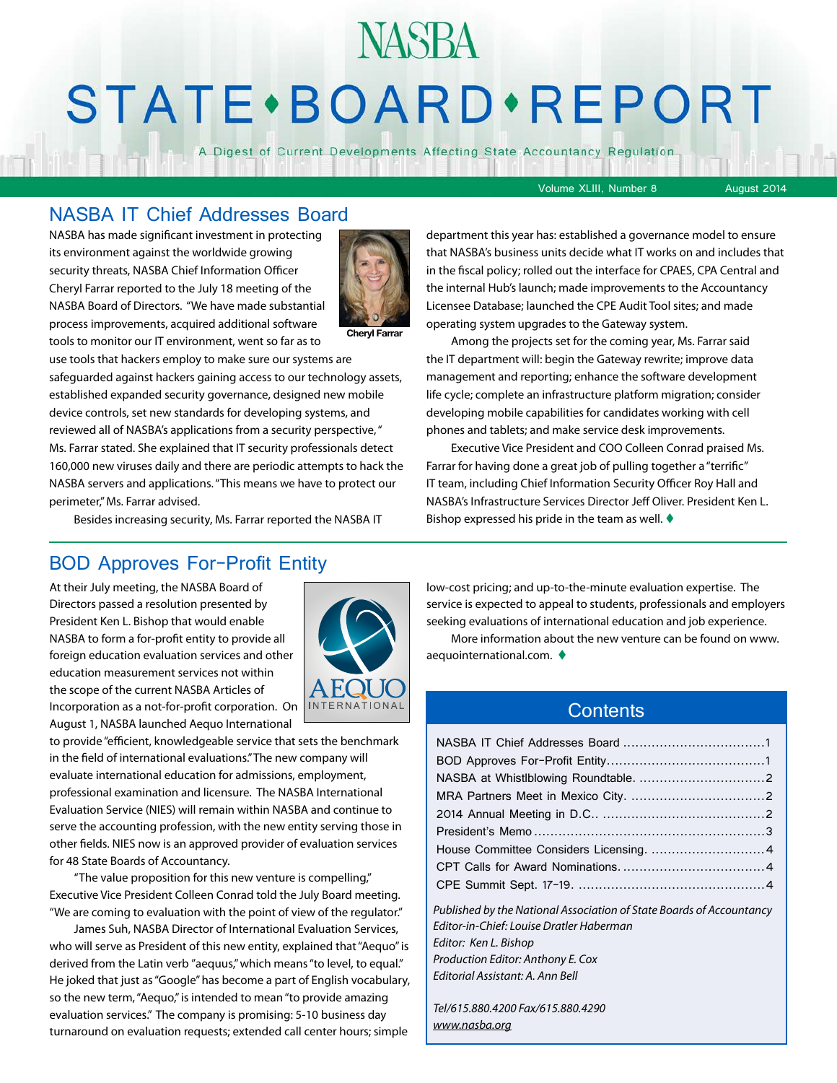# **NASBA STATE** · BOARD · REPORT

A Digest of Current Developments Affecting State Accountancy Regulation

Volume XLIII, Number 8 August 2014

#### NASBA IT Chief Addresses Board

NASBA has made significant investment in protecting its environment against the worldwide growing security threats, NASBA Chief Information Officer Cheryl Farrar reported to the July 18 meeting of the NASBA Board of Directors. "We have made substantial process improvements, acquired additional software tools to monitor our IT environment, went so far as to



**Cheryl Farrar**

use tools that hackers employ to make sure our systems are safeguarded against hackers gaining access to our technology assets, established expanded security governance, designed new mobile device controls, set new standards for developing systems, and reviewed all of NASBA's applications from a security perspective, " Ms. Farrar stated. She explained that IT security professionals detect 160,000 new viruses daily and there are periodic attempts to hack the NASBA servers and applications. "This means we have to protect our perimeter," Ms. Farrar advised.

Besides increasing security, Ms. Farrar reported the NASBA IT

#### BOD Approves For-Profit Entity

At their July meeting, the NASBA Board of Directors passed a resolution presented by President Ken L. Bishop that would enable NASBA to form a for-profit entity to provide all foreign education evaluation services and other education measurement services not within the scope of the current NASBA Articles of Incorporation as a not-for-profit corporation. On August 1, NASBA launched Aequo International



to provide "efficient, knowledgeable service that sets the benchmark in the field of international evaluations." The new company will evaluate international education for admissions, employment, professional examination and licensure. The NASBA International Evaluation Service (NIES) will remain within NASBA and continue to serve the accounting profession, with the new entity serving those in other fields. NIES now is an approved provider of evaluation services for 48 State Boards of Accountancy.

"The value proposition for this new venture is compelling," Executive Vice President Colleen Conrad told the July Board meeting. "We are coming to evaluation with the point of view of the regulator."

James Suh, NASBA Director of International Evaluation Services, who will serve as President of this new entity, explained that "Aequo" is derived from the Latin verb "aequus," which means "to level, to equal." He joked that just as "Google" has become a part of English vocabulary, so the new term, "Aequo," is intended to mean "to provide amazing evaluation services." The company is promising: 5-10 business day turnaround on evaluation requests; extended call center hours; simple

department this year has: established a governance model to ensure that NASBA's business units decide what IT works on and includes that in the fiscal policy; rolled out the interface for CPAES, CPA Central and the internal Hub's launch; made improvements to the Accountancy Licensee Database; launched the CPE Audit Tool sites; and made operating system upgrades to the Gateway system.

Among the projects set for the coming year, Ms. Farrar said the IT department will: begin the Gateway rewrite; improve data management and reporting; enhance the software development life cycle; complete an infrastructure platform migration; consider developing mobile capabilities for candidates working with cell phones and tablets; and make service desk improvements.

Executive Vice President and COO Colleen Conrad praised Ms. Farrar for having done a great job of pulling together a "terrific" IT team, including Chief Information Security Officer Roy Hall and NASBA's Infrastructure Services Director Jeff Oliver. President Ken L. Bishop expressed his pride in the team as well.  $\blacklozenge$ 

low-cost pricing; and up-to-the-minute evaluation expertise. The service is expected to appeal to students, professionals and employers seeking evaluations of international education and job experience.

More information about the new venture can be found on www. aequointernational.com.  $\blacklozenge$ 

#### **Contents**

| Published by the National Association of State Boards of Accountancy |  |
|----------------------------------------------------------------------|--|
| Editor-in-Chief: Louise Dratler Haberman                             |  |
| Editor: Ken L. Bishop                                                |  |
| Production Editor: Anthony E. Cox                                    |  |
| Editorial Assistant: A. Ann Bell                                     |  |
|                                                                      |  |

*Tel/615.880.4200 Fax/615.880.4290 [www.nasba.org](http://www.nasba.org)*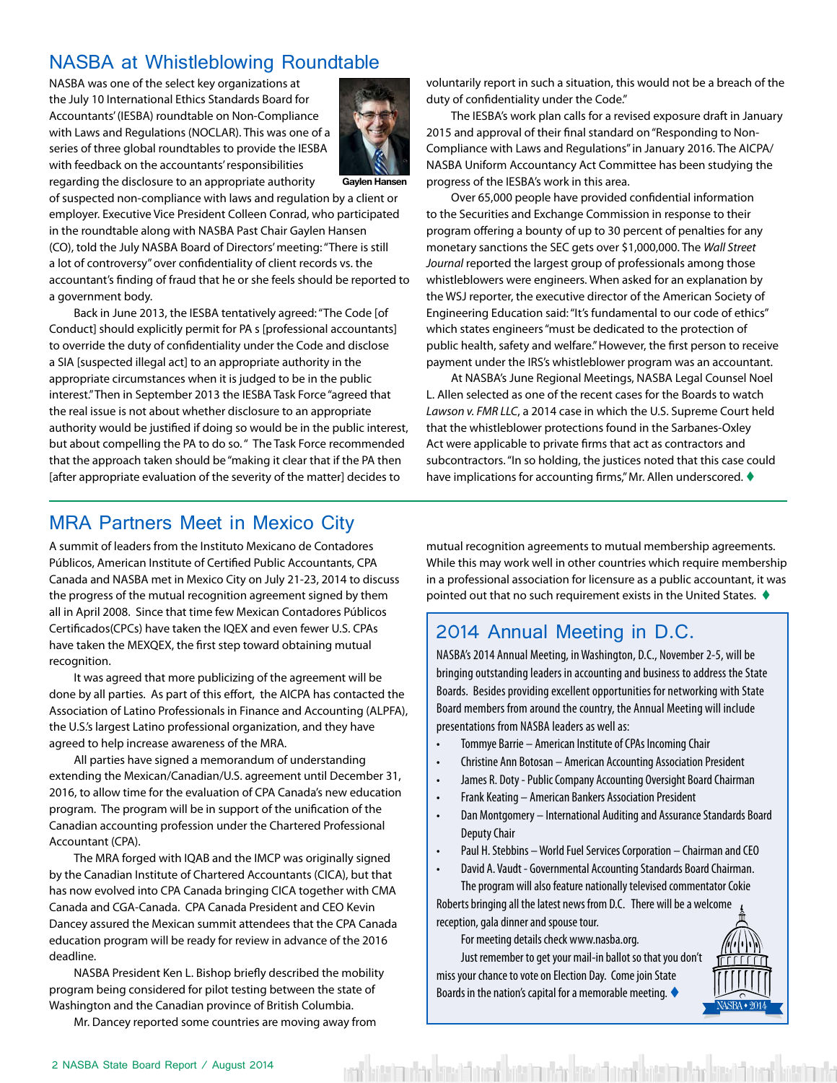#### <span id="page-1-0"></span>NASBA at Whistleblowing Roundtable

NASBA was one of the select key organizations at the July 10 International Ethics Standards Board for Accountants' (IESBA) roundtable on Non-Compliance with Laws and Regulations (NOCLAR). This was one of a series of three global roundtables to provide the IESBA with feedback on the accountants' responsibilities regarding the disclosure to an appropriate authority



of suspected non-compliance with laws and regulation by a client or employer. Executive Vice President Colleen Conrad, who participated in the roundtable along with NASBA Past Chair Gaylen Hansen (CO), told the July NASBA Board of Directors' meeting: "There is still a lot of controversy" over confidentiality of client records vs. the accountant's finding of fraud that he or she feels should be reported to a government body.

Back in June 2013, the IESBA tentatively agreed: "The Code [of Conduct] should explicitly permit for PA s [professional accountants] to override the duty of confidentiality under the Code and disclose a SIA [suspected illegal act] to an appropriate authority in the appropriate circumstances when it is judged to be in the public interest." Then in September 2013 the IESBA Task Force "agreed that the real issue is not about whether disclosure to an appropriate authority would be justified if doing so would be in the public interest, but about compelling the PA to do so. " The Task Force recommended that the approach taken should be "making it clear that if the PA then [after appropriate evaluation of the severity of the matter] decides to

voluntarily report in such a situation, this would not be a breach of the duty of confidentiality under the Code."

The IESBA's work plan calls for a revised exposure draft in January 2015 and approval of their final standard on "Responding to Non-Compliance with Laws and Regulations" in January 2016. The AICPA/ NASBA Uniform Accountancy Act Committee has been studying the progress of the IESBA's work in this area.

Over 65,000 people have provided confidential information to the Securities and Exchange Commission in response to their program offering a bounty of up to 30 percent of penalties for any monetary sanctions the SEC gets over \$1,000,000. The *Wall Street Journal* reported the largest group of professionals among those whistleblowers were engineers. When asked for an explanation by the WSJ reporter, the executive director of the American Society of Engineering Education said: "It's fundamental to our code of ethics" which states engineers "must be dedicated to the protection of public health, safety and welfare." However, the first person to receive payment under the IRS's whistleblower program was an accountant.

At NASBA's June Regional Meetings, NASBA Legal Counsel Noel L. Allen selected as one of the recent cases for the Boards to watch *Lawson v. FMR LLC*, a 2014 case in which the U.S. Supreme Court held that the whistleblower protections found in the Sarbanes-Oxley Act were applicable to private firms that act as contractors and subcontractors. "In so holding, the justices noted that this case could have implications for accounting firms," Mr. Allen underscored.  $\blacklozenge$ 

#### MRA Partners Meet in Mexico City

A summit of leaders from the Instituto Mexicano de Contadores Públicos, American Institute of Certified Public Accountants, CPA Canada and NASBA met in Mexico City on July 21-23, 2014 to discuss the progress of the mutual recognition agreement signed by them all in April 2008. Since that time few Mexican Contadores Públicos Certificados(CPCs) have taken the IQEX and even fewer U.S. CPAs have taken the MEXQEX, the first step toward obtaining mutual recognition.

It was agreed that more publicizing of the agreement will be done by all parties. As part of this effort, the AICPA has contacted the Association of Latino Professionals in Finance and Accounting (ALPFA), the U.S.'s largest Latino professional organization, and they have agreed to help increase awareness of the MRA.

All parties have signed a memorandum of understanding extending the Mexican/Canadian/U.S. agreement until December 31, 2016, to allow time for the evaluation of CPA Canada's new education program. The program will be in support of the unification of the Canadian accounting profession under the Chartered Professional Accountant (CPA).

The MRA forged with IQAB and the IMCP was originally signed by the Canadian Institute of Chartered Accountants (CICA), but that has now evolved into CPA Canada bringing CICA together with CMA Canada and CGA-Canada. CPA Canada President and CEO Kevin Dancey assured the Mexican summit attendees that the CPA Canada education program will be ready for review in advance of the 2016 deadline.

NASBA President Ken L. Bishop briefly described the mobility program being considered for pilot testing between the state of Washington and the Canadian province of British Columbia.

Mr. Dancey reported some countries are moving away from

mutual recognition agreements to mutual membership agreements. While this may work well in other countries which require membership in a professional association for licensure as a public accountant, it was pointed out that no such requirement exists in the United States.  $\blacklozenge$ 

#### 2014 Annual Meeting in D.C.

NASBA's 2014 Annual Meeting, in Washington, D.C., November 2-5, will be bringing outstanding leaders in accounting and business to address the State Boards. Besides providing excellent opportunities for networking with State Board members from around the country, the Annual Meeting will include presentations from NASBA leaders as well as:

- Tommye Barrie American Institute of CPAs Incoming Chair
- Christine Ann Botosan American Accounting Association President
- James R. Doty Public Company Accounting Oversight Board Chairman
- Frank Keating American Bankers Association President
- Dan Montgomery International Auditing and Assurance Standards Board Deputy Chair
- Paul H. Stebbins World Fuel Services Corporation Chairman and CEO
- David A. Vaudt Governmental Accounting Standards Board Chairman.

The program will also feature nationally televised commentator Cokie Roberts bringing all the latest news from D.C. There will be a welcome reception, gala dinner and spouse tour.

For meeting details check www.nasba.org.

ita'in aktor bir bir bir dahir bir bir bir bir bir bahar

Just remember to get your mail-in ballot so that you don't miss your chance to vote on Election Day. Come join State Boards in the nation's capital for a memorable meeting.  $\blacklozenge$ 

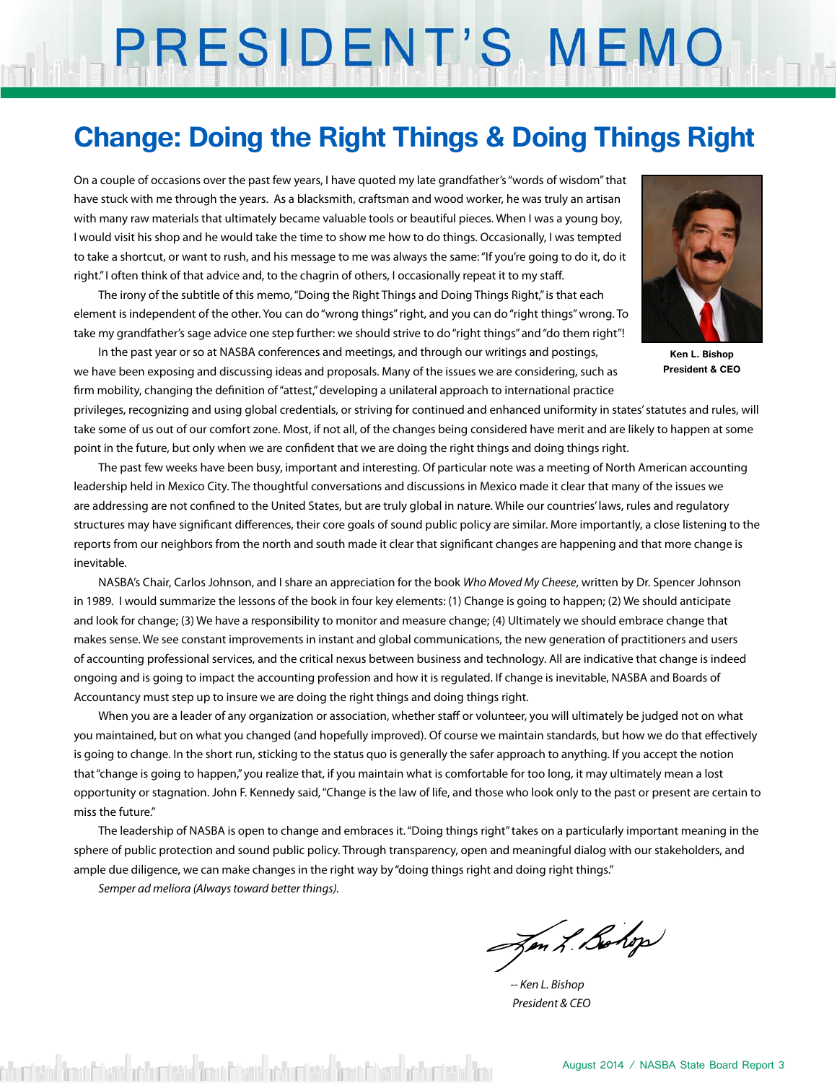# PRESIDENT'S MEMO

## **Change: Doing the Right Things & Doing Things Right**

On a couple of occasions over the past few years, I have quoted my late grandfather's "words of wisdom" that have stuck with me through the years. As a blacksmith, craftsman and wood worker, he was truly an artisan with many raw materials that ultimately became valuable tools or beautiful pieces. When I was a young boy, I would visit his shop and he would take the time to show me how to do things. Occasionally, I was tempted to take a shortcut, or want to rush, and his message to me was always the same: "If you're going to do it, do it right." I often think of that advice and, to the chagrin of others, I occasionally repeat it to my staff.

The irony of the subtitle of this memo, "Doing the Right Things and Doing Things Right," is that each element is independent of the other. You can do "wrong things" right, and you can do "right things" wrong. To take my grandfather's sage advice one step further: we should strive to do "right things" and "do them right"!



**Ken L. Bishop President & CEO**

In the past year or so at NASBA conferences and meetings, and through our writings and postings, we have been exposing and discussing ideas and proposals. Many of the issues we are considering, such as firm mobility, changing the definition of "attest," developing a unilateral approach to international practice

privileges, recognizing and using global credentials, or striving for continued and enhanced uniformity in states' statutes and rules, will take some of us out of our comfort zone. Most, if not all, of the changes being considered have merit and are likely to happen at some point in the future, but only when we are confident that we are doing the right things and doing things right.

The past few weeks have been busy, important and interesting. Of particular note was a meeting of North American accounting leadership held in Mexico City. The thoughtful conversations and discussions in Mexico made it clear that many of the issues we are addressing are not confined to the United States, but are truly global in nature. While our countries' laws, rules and regulatory structures may have significant differences, their core goals of sound public policy are similar. More importantly, a close listening to the reports from our neighbors from the north and south made it clear that significant changes are happening and that more change is inevitable.

NASBA's Chair, Carlos Johnson, and I share an appreciation for the book *Who Moved My Cheese*, written by Dr. Spencer Johnson in 1989. I would summarize the lessons of the book in four key elements: (1) Change is going to happen; (2) We should anticipate and look for change; (3) We have a responsibility to monitor and measure change; (4) Ultimately we should embrace change that makes sense. We see constant improvements in instant and global communications, the new generation of practitioners and users of accounting professional services, and the critical nexus between business and technology. All are indicative that change is indeed ongoing and is going to impact the accounting profession and how it is regulated. If change is inevitable, NASBA and Boards of Accountancy must step up to insure we are doing the right things and doing things right.

When you are a leader of any organization or association, whether staff or volunteer, you will ultimately be judged not on what you maintained, but on what you changed (and hopefully improved). Of course we maintain standards, but how we do that effectively is going to change. In the short run, sticking to the status quo is generally the safer approach to anything. If you accept the notion that "change is going to happen," you realize that, if you maintain what is comfortable for too long, it may ultimately mean a lost opportunity or stagnation. John F. Kennedy said, "Change is the law of life, and those who look only to the past or present are certain to miss the future."

The leadership of NASBA is open to change and embraces it. "Doing things right" takes on a particularly important meaning in the sphere of public protection and sound public policy. Through transparency, open and meaningful dialog with our stakeholders, and ample due diligence, we can make changes in the right way by "doing things right and doing right things."

*Semper ad meliora (Always toward better things).*

Zen L. Bohop

*-- Ken L. Bishop President & CEO*

detial from Edwin at hurdetial from Edwin at hurdetial from Edwin at hurdetial fro